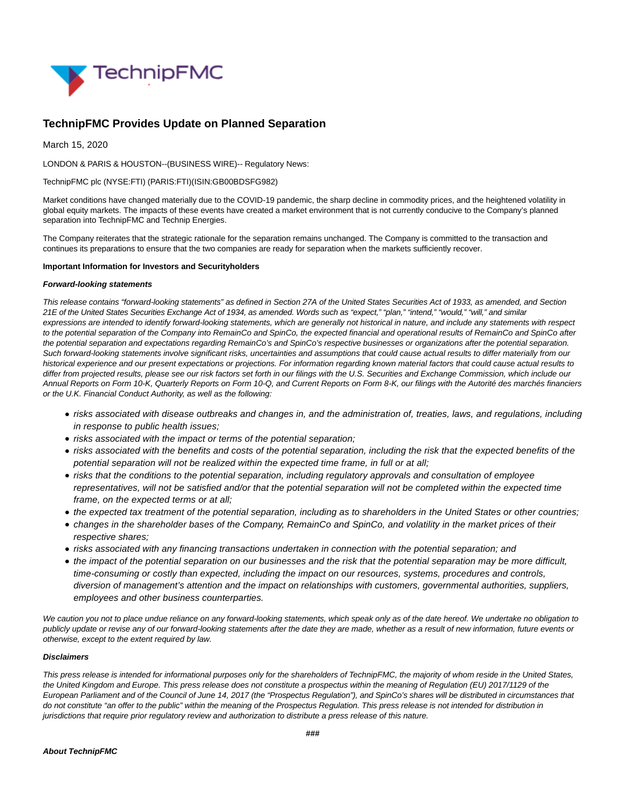

# **TechnipFMC Provides Update on Planned Separation**

March 15, 2020

LONDON & PARIS & HOUSTON--(BUSINESS WIRE)-- Regulatory News:

### TechnipFMC plc (NYSE:FTI) (PARIS:FTI)(ISIN:GB00BDSFG982)

Market conditions have changed materially due to the COVID-19 pandemic, the sharp decline in commodity prices, and the heightened volatility in global equity markets. The impacts of these events have created a market environment that is not currently conducive to the Company's planned separation into TechnipFMC and Technip Energies.

The Company reiterates that the strategic rationale for the separation remains unchanged. The Company is committed to the transaction and continues its preparations to ensure that the two companies are ready for separation when the markets sufficiently recover.

#### **Important Information for Investors and Securityholders**

#### **Forward-looking statements**

This release contains "forward-looking statements" as defined in Section 27A of the United States Securities Act of 1933, as amended, and Section 21E of the United States Securities Exchange Act of 1934, as amended. Words such as "expect," "plan," "intend," "would," "will," and similar expressions are intended to identify forward-looking statements, which are generally not historical in nature, and include any statements with respect to the potential separation of the Company into RemainCo and SpinCo, the expected financial and operational results of RemainCo and SpinCo after the potential separation and expectations regarding RemainCo's and SpinCo's respective businesses or organizations after the potential separation. Such forward-looking statements involve significant risks, uncertainties and assumptions that could cause actual results to differ materially from our historical experience and our present expectations or projections. For information regarding known material factors that could cause actual results to differ from projected results, please see our risk factors set forth in our filings with the U.S. Securities and Exchange Commission, which include our Annual Reports on Form 10-K, Quarterly Reports on Form 10-Q, and Current Reports on Form 8-K, our filings with the Autorité des marchés financiers or the U.K. Financial Conduct Authority, as well as the following:

- risks associated with disease outbreaks and changes in, and the administration of, treaties, laws, and regulations, including in response to public health issues;
- risks associated with the impact or terms of the potential separation;
- risks associated with the benefits and costs of the potential separation, including the risk that the expected benefits of the potential separation will not be realized within the expected time frame, in full or at all;
- risks that the conditions to the potential separation, including regulatory approvals and consultation of employee representatives, will not be satisfied and/or that the potential separation will not be completed within the expected time frame, on the expected terms or at all;
- the expected tax treatment of the potential separation, including as to shareholders in the United States or other countries;
- changes in the shareholder bases of the Company, RemainCo and SpinCo, and volatility in the market prices of their respective shares;
- risks associated with any financing transactions undertaken in connection with the potential separation; and
- the impact of the potential separation on our businesses and the risk that the potential separation may be more difficult, time-consuming or costly than expected, including the impact on our resources, systems, procedures and controls, diversion of management's attention and the impact on relationships with customers, governmental authorities, suppliers, employees and other business counterparties.

We caution you not to place undue reliance on any forward-looking statements, which speak only as of the date hereof. We undertake no obligation to publicly update or revise any of our forward-looking statements after the date they are made, whether as a result of new information, future events or otherwise, except to the extent required by law.

#### **Disclaimers**

This press release is intended for informational purposes only for the shareholders of TechnipFMC, the majority of whom reside in the United States, the United Kingdom and Europe. This press release does not constitute a prospectus within the meaning of Regulation (EU) 2017/1129 of the European Parliament and of the Council of June 14, 2017 (the "Prospectus Regulation"), and SpinCo's shares will be distributed in circumstances that do not constitute "an offer to the public" within the meaning of the Prospectus Regulation. This press release is not intended for distribution in jurisdictions that require prior regulatory review and authorization to distribute a press release of this nature.